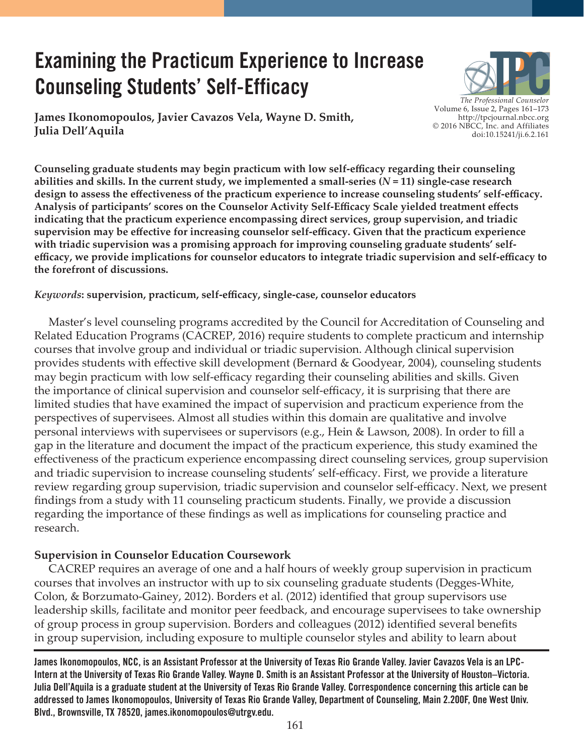# **Examining the Practicum Experience to Increase Counseling Students' Self-Efficacy**

**James Ikonomopoulos, Javier Cavazos Vela, Wayne D. Smith, Julia Dell'Aquila**



**Counseling graduate students may begin practicum with low self-efficacy regarding their counseling abilities and skills. In the current study, we implemented a small-series (***N* **= 11) single-case research design to assess the effectiveness of the practicum experience to increase counseling students' self-efficacy. Analysis of participants' scores on the Counselor Activity Self-Efficacy Scale yielded treatment effects indicating that the practicum experience encompassing direct services, group supervision, and triadic supervision may be effective for increasing counselor self-efficacy. Given that the practicum experience with triadic supervision was a promising approach for improving counseling graduate students' selfefficacy, we provide implications for counselor educators to integrate triadic supervision and self-efficacy to the forefront of discussions.**

### *Keywords***: supervision, practicum, self-efficacy, single-case, counselor educators**

 Master's level counseling programs accredited by the Council for Accreditation of Counseling and Related Education Programs (CACREP, 2016) require students to complete practicum and internship courses that involve group and individual or triadic supervision. Although clinical supervision provides students with effective skill development (Bernard & Goodyear, 2004), counseling students may begin practicum with low self-efficacy regarding their counseling abilities and skills. Given the importance of clinical supervision and counselor self-efficacy, it is surprising that there are limited studies that have examined the impact of supervision and practicum experience from the perspectives of supervisees. Almost all studies within this domain are qualitative and involve personal interviews with supervisees or supervisors (e.g., Hein & Lawson, 2008). In order to fill a gap in the literature and document the impact of the practicum experience, this study examined the effectiveness of the practicum experience encompassing direct counseling services, group supervision and triadic supervision to increase counseling students' self-efficacy. First, we provide a literature review regarding group supervision, triadic supervision and counselor self-efficacy. Next, we present findings from a study with 11 counseling practicum students. Finally, we provide a discussion regarding the importance of these findings as well as implications for counseling practice and research.

### **Supervision in Counselor Education Coursework**

 CACREP requires an average of one and a half hours of weekly group supervision in practicum courses that involves an instructor with up to six counseling graduate students (Degges-White, Colon, & Borzumato-Gainey, 2012). Borders et al. (2012) identified that group supervisors use leadership skills, facilitate and monitor peer feedback, and encourage supervisees to take ownership of group process in group supervision. Borders and colleagues (2012) identified several benefits in group supervision, including exposure to multiple counselor styles and ability to learn about

**James Ikonomopoulos, NCC, is an Assistant Professor at the University of Texas Rio Grande Valley. Javier Cavazos Vela is an LPC-Intern at the University of Texas Rio Grande Valley. Wayne D. Smith is an Assistant Professor at the University of Houston–Victoria. Julia Dell'Aquila is a graduate student at the University of Texas Rio Grande Valley. Correspondence concerning this article can be addressed to James Ikonomopoulos, University of Texas Rio Grande Valley, Department of Counseling, Main 2.200F, One West Univ. Blvd., Brownsville, TX 78520, james.ikonomopoulos@utrgv.edu.**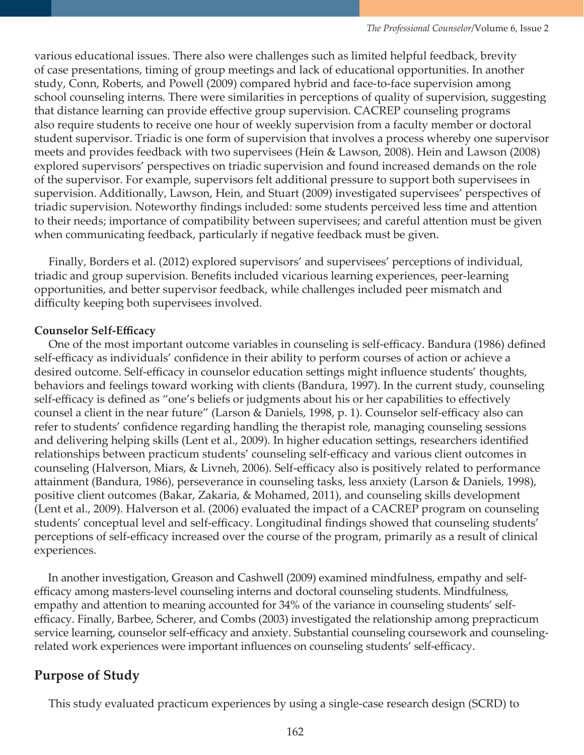various educational issues. There also were challenges such as limited helpful feedback, brevity of case presentations, timing of group meetings and lack of educational opportunities. In another study, Conn, Roberts, and Powell (2009) compared hybrid and face-to-face supervision among school counseling interns. There were similarities in perceptions of quality of supervision, suggesting that distance learning can provide effective group supervision. CACREP counseling programs also require students to receive one hour of weekly supervision from a faculty member or doctoral student supervisor. Triadic is one form of supervision that involves a process whereby one supervisor meets and provides feedback with two supervisees (Hein & Lawson, 2008). Hein and Lawson (2008) explored supervisors' perspectives on triadic supervision and found increased demands on the role of the supervisor. For example, supervisors felt additional pressure to support both supervisees in supervision. Additionally, Lawson, Hein, and Stuart (2009) investigated supervisees' perspectives of triadic supervision. Noteworthy findings included: some students perceived less time and attention to their needs; importance of compatibility between supervisees; and careful attention must be given when communicating feedback, particularly if negative feedback must be given.

 Finally, Borders et al. (2012) explored supervisors' and supervisees' perceptions of individual, triadic and group supervision. Benefits included vicarious learning experiences, peer-learning opportunities, and better supervisor feedback, while challenges included peer mismatch and difficulty keeping both supervisees involved.

### **Counselor Self-Efficacy**

 One of the most important outcome variables in counseling is self-efficacy. Bandura (1986) defined self-efficacy as individuals' confidence in their ability to perform courses of action or achieve a desired outcome. Self-efficacy in counselor education settings might influence students' thoughts, behaviors and feelings toward working with clients (Bandura, 1997). In the current study, counseling self-efficacy is defined as "one's beliefs or judgments about his or her capabilities to effectively counsel a client in the near future" (Larson & Daniels, 1998, p. 1). Counselor self-efficacy also can refer to students' confidence regarding handling the therapist role, managing counseling sessions and delivering helping skills (Lent et al., 2009). In higher education settings, researchers identified relationships between practicum students' counseling self-efficacy and various client outcomes in counseling (Halverson, Miars, & Livneh, 2006). Self-efficacy also is positively related to performance attainment (Bandura, 1986), perseverance in counseling tasks, less anxiety (Larson & Daniels, 1998), positive client outcomes (Bakar, Zakaria, & Mohamed, 2011), and counseling skills development (Lent et al., 2009). Halverson et al. (2006) evaluated the impact of a CACREP program on counseling students' conceptual level and self-efficacy. Longitudinal findings showed that counseling students' perceptions of self-efficacy increased over the course of the program, primarily as a result of clinical experiences.

 In another investigation, Greason and Cashwell (2009) examined mindfulness, empathy and selfefficacy among masters-level counseling interns and doctoral counseling students. Mindfulness, empathy and attention to meaning accounted for 34% of the variance in counseling students' selfefficacy. Finally, Barbee, Scherer, and Combs (2003) investigated the relationship among prepracticum service learning, counselor self-efficacy and anxiety. Substantial counseling coursework and counselingrelated work experiences were important influences on counseling students' self-efficacy.

# **Purpose of Study**

This study evaluated practicum experiences by using a single-case research design (SCRD) to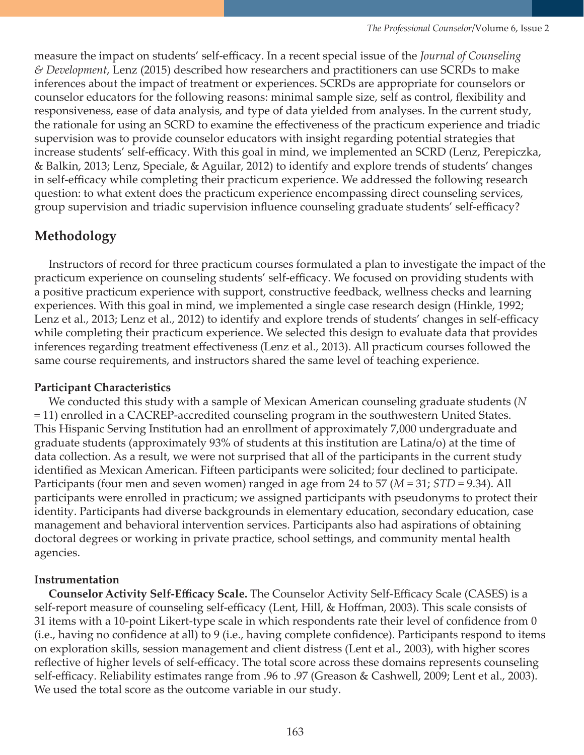measure the impact on students' self-efficacy. In a recent special issue of the *Journal of Counseling & Development*, Lenz (2015) described how researchers and practitioners can use SCRDs to make inferences about the impact of treatment or experiences. SCRDs are appropriate for counselors or counselor educators for the following reasons: minimal sample size, self as control, flexibility and responsiveness, ease of data analysis, and type of data yielded from analyses. In the current study, the rationale for using an SCRD to examine the effectiveness of the practicum experience and triadic supervision was to provide counselor educators with insight regarding potential strategies that increase students' self-efficacy. With this goal in mind, we implemented an SCRD (Lenz, Perepiczka, & Balkin, 2013; Lenz, Speciale, & Aguilar, 2012) to identify and explore trends of students' changes in self-efficacy while completing their practicum experience. We addressed the following research question: to what extent does the practicum experience encompassing direct counseling services, group supervision and triadic supervision influence counseling graduate students' self-efficacy?

# **Methodology**

 Instructors of record for three practicum courses formulated a plan to investigate the impact of the practicum experience on counseling students' self-efficacy. We focused on providing students with a positive practicum experience with support, constructive feedback, wellness checks and learning experiences. With this goal in mind, we implemented a single case research design (Hinkle, 1992; Lenz et al., 2013; Lenz et al., 2012) to identify and explore trends of students' changes in self-efficacy while completing their practicum experience. We selected this design to evaluate data that provides inferences regarding treatment effectiveness (Lenz et al., 2013). All practicum courses followed the same course requirements, and instructors shared the same level of teaching experience.

### **Participant Characteristics**

 We conducted this study with a sample of Mexican American counseling graduate students (*N* = 11) enrolled in a CACREP-accredited counseling program in the southwestern United States. This Hispanic Serving Institution had an enrollment of approximately 7,000 undergraduate and graduate students (approximately 93% of students at this institution are Latina/o) at the time of data collection. As a result, we were not surprised that all of the participants in the current study identified as Mexican American. Fifteen participants were solicited; four declined to participate. Participants (four men and seven women) ranged in age from 24 to 57 (*M* = 31; *STD* = 9.34). All participants were enrolled in practicum; we assigned participants with pseudonyms to protect their identity. Participants had diverse backgrounds in elementary education, secondary education, case management and behavioral intervention services. Participants also had aspirations of obtaining doctoral degrees or working in private practice, school settings, and community mental health agencies.

# **Instrumentation**

 **Counselor Activity Self-Efficacy Scale.** The Counselor Activity Self-Efficacy Scale (CASES) is a self-report measure of counseling self-efficacy (Lent, Hill, & Hoffman, 2003). This scale consists of 31 items with a 10-point Likert-type scale in which respondents rate their level of confidence from 0 (i.e., having no confidence at all) to 9 (i.e., having complete confidence). Participants respond to items on exploration skills, session management and client distress (Lent et al., 2003), with higher scores reflective of higher levels of self-efficacy. The total score across these domains represents counseling self-efficacy. Reliability estimates range from .96 to .97 (Greason & Cashwell, 2009; Lent et al., 2003). We used the total score as the outcome variable in our study.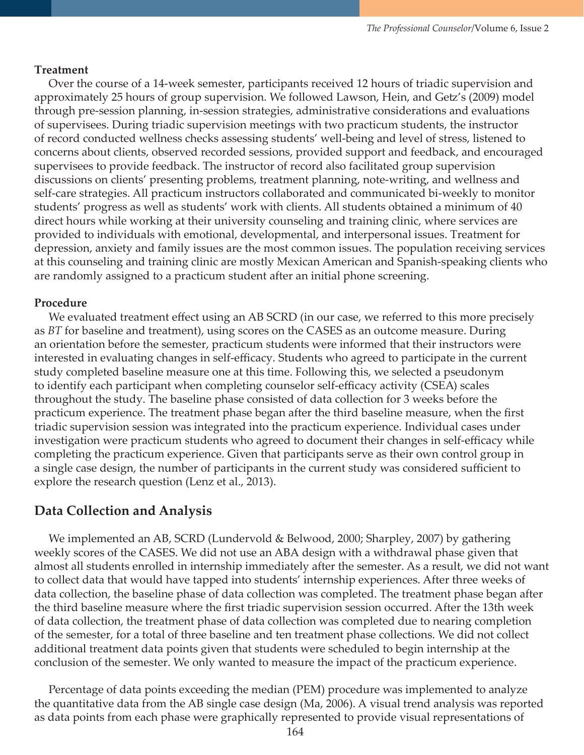#### **Treatment**

 Over the course of a 14-week semester, participants received 12 hours of triadic supervision and approximately 25 hours of group supervision. We followed Lawson, Hein, and Getz's (2009) model through pre-session planning, in-session strategies, administrative considerations and evaluations of supervisees. During triadic supervision meetings with two practicum students, the instructor of record conducted wellness checks assessing students' well-being and level of stress, listened to concerns about clients, observed recorded sessions, provided support and feedback, and encouraged supervisees to provide feedback. The instructor of record also facilitated group supervision discussions on clients' presenting problems, treatment planning, note-writing, and wellness and self-care strategies. All practicum instructors collaborated and communicated bi-weekly to monitor students' progress as well as students' work with clients. All students obtained a minimum of 40 direct hours while working at their university counseling and training clinic, where services are provided to individuals with emotional, developmental, and interpersonal issues. Treatment for depression, anxiety and family issues are the most common issues. The population receiving services at this counseling and training clinic are mostly Mexican American and Spanish-speaking clients who are randomly assigned to a practicum student after an initial phone screening.

#### **Procedure**

 We evaluated treatment effect using an AB SCRD (in our case, we referred to this more precisely as *BT* for baseline and treatment), using scores on the CASES as an outcome measure. During an orientation before the semester, practicum students were informed that their instructors were interested in evaluating changes in self-efficacy. Students who agreed to participate in the current study completed baseline measure one at this time. Following this, we selected a pseudonym to identify each participant when completing counselor self-efficacy activity (CSEA) scales throughout the study. The baseline phase consisted of data collection for 3 weeks before the practicum experience. The treatment phase began after the third baseline measure, when the first triadic supervision session was integrated into the practicum experience. Individual cases under investigation were practicum students who agreed to document their changes in self-efficacy while completing the practicum experience. Given that participants serve as their own control group in a single case design, the number of participants in the current study was considered sufficient to explore the research question (Lenz et al., 2013).

### **Data Collection and Analysis**

 We implemented an AB, SCRD (Lundervold & Belwood, 2000; Sharpley, 2007) by gathering weekly scores of the CASES. We did not use an ABA design with a withdrawal phase given that almost all students enrolled in internship immediately after the semester. As a result, we did not want to collect data that would have tapped into students' internship experiences. After three weeks of data collection, the baseline phase of data collection was completed. The treatment phase began after the third baseline measure where the first triadic supervision session occurred. After the 13th week of data collection, the treatment phase of data collection was completed due to nearing completion of the semester, for a total of three baseline and ten treatment phase collections. We did not collect additional treatment data points given that students were scheduled to begin internship at the conclusion of the semester. We only wanted to measure the impact of the practicum experience.

 Percentage of data points exceeding the median (PEM) procedure was implemented to analyze the quantitative data from the AB single case design (Ma, 2006). A visual trend analysis was reported as data points from each phase were graphically represented to provide visual representations of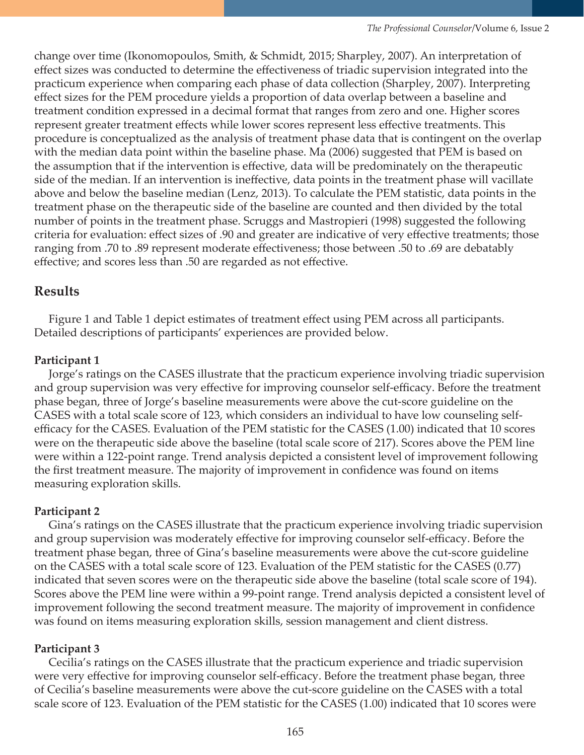change over time (Ikonomopoulos, Smith, & Schmidt, 2015; Sharpley, 2007). An interpretation of effect sizes was conducted to determine the effectiveness of triadic supervision integrated into the practicum experience when comparing each phase of data collection (Sharpley, 2007). Interpreting effect sizes for the PEM procedure yields a proportion of data overlap between a baseline and treatment condition expressed in a decimal format that ranges from zero and one. Higher scores represent greater treatment effects while lower scores represent less effective treatments. This procedure is conceptualized as the analysis of treatment phase data that is contingent on the overlap with the median data point within the baseline phase. Ma (2006) suggested that PEM is based on the assumption that if the intervention is effective, data will be predominately on the therapeutic side of the median. If an intervention is ineffective, data points in the treatment phase will vacillate above and below the baseline median (Lenz, 2013). To calculate the PEM statistic, data points in the treatment phase on the therapeutic side of the baseline are counted and then divided by the total number of points in the treatment phase. Scruggs and Mastropieri (1998) suggested the following criteria for evaluation: effect sizes of .90 and greater are indicative of very effective treatments; those ranging from .70 to .89 represent moderate effectiveness; those between .50 to .69 are debatably effective; and scores less than .50 are regarded as not effective.

# **Results**

 Figure 1 and Table 1 depict estimates of treatment effect using PEM across all participants. Detailed descriptions of participants' experiences are provided below.

# **Participant 1**

Jorge's ratings on the CASES illustrate that the practicum experience involving triadic supervision and group supervision was very effective for improving counselor self-efficacy. Before the treatment phase began, three of Jorge's baseline measurements were above the cut-score guideline on the CASES with a total scale score of 123, which considers an individual to have low counseling selfefficacy for the CASES. Evaluation of the PEM statistic for the CASES (1.00) indicated that 10 scores were on the therapeutic side above the baseline (total scale score of 217). Scores above the PEM line were within a 122-point range. Trend analysis depicted a consistent level of improvement following the first treatment measure. The majority of improvement in confidence was found on items measuring exploration skills.

# **Participant 2**

Gina's ratings on the CASES illustrate that the practicum experience involving triadic supervision and group supervision was moderately effective for improving counselor self-efficacy. Before the treatment phase began, three of Gina's baseline measurements were above the cut-score guideline on the CASES with a total scale score of 123. Evaluation of the PEM statistic for the CASES (0.77) indicated that seven scores were on the therapeutic side above the baseline (total scale score of 194). Scores above the PEM line were within a 99-point range. Trend analysis depicted a consistent level of improvement following the second treatment measure. The majority of improvement in confidence was found on items measuring exploration skills, session management and client distress.

# **Participant 3**

Cecilia's ratings on the CASES illustrate that the practicum experience and triadic supervision were very effective for improving counselor self-efficacy. Before the treatment phase began, three of Cecilia's baseline measurements were above the cut-score guideline on the CASES with a total scale score of 123. Evaluation of the PEM statistic for the CASES (1.00) indicated that 10 scores were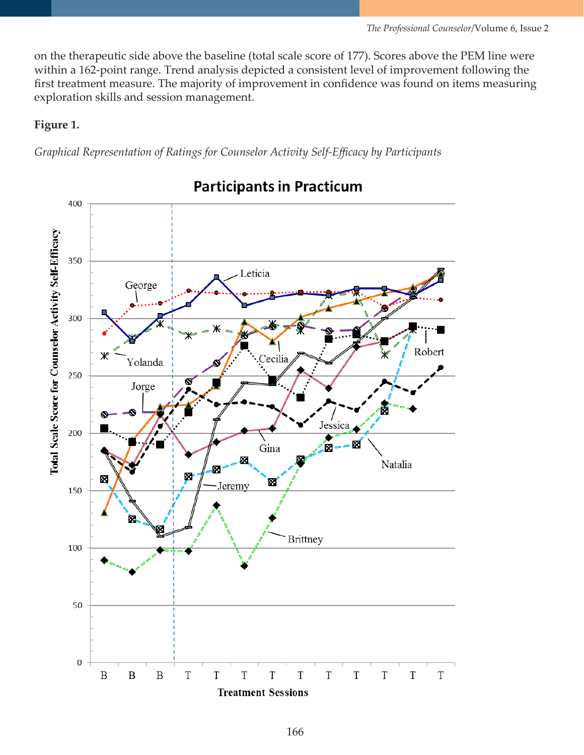on the therapeutic side above the baseline (total scale score of 177). Scores above the PEM line were within a 162-point range. Trend analysis depicted a consistent level of improvement following the first treatment measure. The majority of improvement in confidence was found on items measuring exploration skills and session management.

## **Figure 1.**

*Graphical Representation of Ratings for Counselor Activity Self-Efficacy by Participants*



**Participants in Practicum**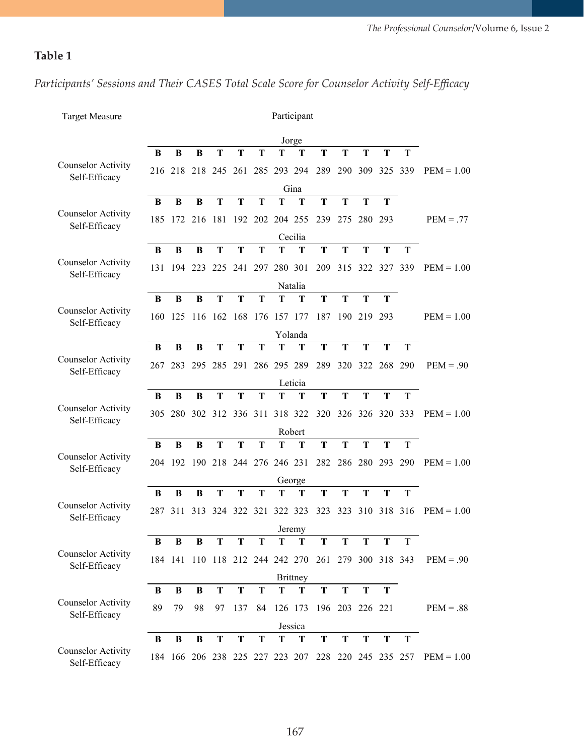# **Table 1**

*Participants' Sessions and Their CASES Total Scale Score for Counselor Activity Self-Efficacy*

| <b>Target Measure</b>                      | Participant<br>Jorge                                                               |          |          |         |                     |         |             |              |                                                     |     |                 |             |             |              |
|--------------------------------------------|------------------------------------------------------------------------------------|----------|----------|---------|---------------------|---------|-------------|--------------|-----------------------------------------------------|-----|-----------------|-------------|-------------|--------------|
|                                            |                                                                                    |          |          |         |                     |         |             |              |                                                     |     |                 |             |             |              |
|                                            | B                                                                                  | B        | B        | T       | T                   | т       | T           | T            | T                                                   | T   | T               | T           | T           |              |
| <b>Counselor Activity</b><br>Self-Efficacy | 216                                                                                | 218      | 218      | 245 261 |                     | 285     |             | 293 294      | 289                                                 | 290 | 309 325         |             | 339         | $PEM = 1.00$ |
|                                            | Gina<br>T<br>B<br>B<br>B<br>T<br>T<br>T<br>T<br>T<br>T<br>T<br>Т                   |          |          |         |                     |         |             |              |                                                     |     |                 |             |             |              |
| <b>Counselor Activity</b><br>Self-Efficacy |                                                                                    |          |          |         |                     |         |             |              |                                                     |     |                 |             |             |              |
|                                            | 181<br>192 202 204 255<br>239<br>280 293<br>185<br>172 216<br>275                  |          |          |         |                     |         |             |              |                                                     |     | $PEM = .77$     |             |             |              |
|                                            | Cecilia<br>$\mathbf T$<br>T<br>B<br>B<br>B<br>T<br>T<br>T<br>т<br>T<br>T<br>T<br>T |          |          |         |                     |         |             |              |                                                     |     |                 |             |             |              |
| <b>Counselor Activity</b><br>Self-Efficacy |                                                                                    |          |          |         |                     |         |             |              |                                                     |     |                 |             |             |              |
|                                            | 131                                                                                | 194      | 223      | 225     | 241                 | 297     | 280 301     |              | 209                                                 | 315 |                 | 322 327     | 339         | $PEM = 1.00$ |
|                                            | B                                                                                  | B        | B        | T       | T                   | T       | T           | Natalia<br>T | T                                                   | T   | T               | T           |             |              |
| <b>Counselor Activity</b><br>Self-Efficacy |                                                                                    |          |          |         |                     |         |             |              |                                                     |     |                 |             |             |              |
|                                            | 160                                                                                | 125      | 116      |         | 162 168             | 176     | 157 177     |              | 187                                                 |     | 190 219 293     |             |             | $PEM = 1.00$ |
|                                            |                                                                                    |          |          |         |                     |         |             | Yolanda      |                                                     |     |                 |             |             |              |
| <b>Counselor Activity</b><br>Self-Efficacy | B                                                                                  | B        | B        | T       | T                   | T       | T           | T            | $\mathbf T$                                         | T   | T               | T           | T           |              |
|                                            | 267                                                                                | 283      | 295      |         | 285 291             |         | 286 295 289 |              | 289                                                 | 320 |                 | 322 268 290 |             | $PEM = .90$  |
|                                            | Leticia                                                                            |          |          |         |                     |         |             |              |                                                     |     |                 |             |             |              |
| <b>Counselor Activity</b><br>Self-Efficacy | B                                                                                  | B        | B        | T       | T                   | T       | T           | T            | T                                                   | T   | T               | T           | $\mathbf T$ |              |
|                                            | 305                                                                                | 280      | 302      |         | 312 336 311 318 322 |         |             |              | 320                                                 |     | 326 326 320 333 |             |             | $PEM = 1.00$ |
|                                            | Robert                                                                             |          |          |         |                     |         |             |              |                                                     |     |                 |             |             |              |
|                                            | B                                                                                  | B        | B        | T       | T                   | T       | T           | T            | T                                                   | T   | T               | T           | T           |              |
| <b>Counselor Activity</b><br>Self-Efficacy | 204                                                                                | 192      | 190      |         | 218 244 276 246 231 |         |             |              | 282                                                 | 286 | 280 293         |             | -290        | $PEM = 1.00$ |
|                                            | George                                                                             |          |          |         |                     |         |             |              |                                                     |     |                 |             |             |              |
|                                            | B                                                                                  | B        | B        | T       | T                   | T       | T           | T            | T                                                   | T   | T               | T           | T           |              |
| <b>Counselor Activity</b><br>Self-Efficacy |                                                                                    | 287 311  | 313      |         | 324 322 321 322 323 |         |             |              | 323                                                 | 323 |                 | 310 318 316 |             | $PEM = 1.00$ |
|                                            | Jeremy                                                                             |          |          |         |                     |         |             |              |                                                     |     |                 |             |             |              |
| <b>Counselor Activity</b><br>Self-Efficacy | B                                                                                  | B        | B        | Т       | T                   | т       | Т           | т            | т                                                   | Т   | Т               | т           | T           |              |
|                                            |                                                                                    | 184 141  | 110      |         |                     |         |             |              | 118 212 244 242 270 261 279 300 318 343             |     |                 |             |             | $PEM = .90$  |
|                                            | <b>Brittney</b>                                                                    |          |          |         |                     |         |             |              |                                                     |     |                 |             |             |              |
| <b>Counselor Activity</b><br>Self-Efficacy | B<br>89                                                                            | B<br>79  | B<br>98  | T<br>97 | T<br>137            | T<br>84 | T           | T            | T                                                   | T   | T               | T           |             | $PEM = .88$  |
|                                            | 196 203 226 221<br>126 173<br>Jessica                                              |          |          |         |                     |         |             |              |                                                     |     |                 |             |             |              |
|                                            | B                                                                                  | $\bf{B}$ | $\bf{B}$ | T       | T                   | T       | T           | T            | T                                                   | T   | T               | T           | T           |              |
| <b>Counselor Activity</b><br>Self-Efficacy |                                                                                    |          |          |         |                     |         |             |              | 184 166 206 238 225 227 223 207 228 220 245 235 257 |     |                 |             |             | $PEM = 1.00$ |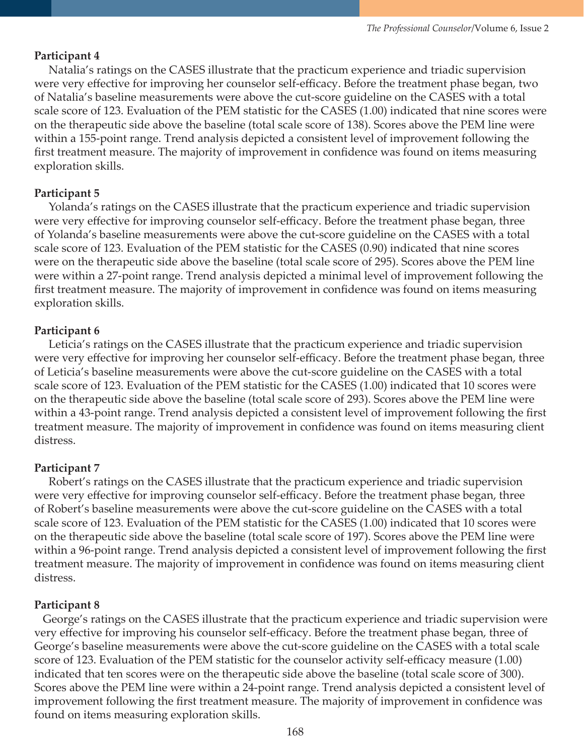#### **Participant 4**

Natalia's ratings on the CASES illustrate that the practicum experience and triadic supervision were very effective for improving her counselor self-efficacy. Before the treatment phase began, two of Natalia's baseline measurements were above the cut-score guideline on the CASES with a total scale score of 123. Evaluation of the PEM statistic for the CASES (1.00) indicated that nine scores were on the therapeutic side above the baseline (total scale score of 138). Scores above the PEM line were within a 155-point range. Trend analysis depicted a consistent level of improvement following the first treatment measure. The majority of improvement in confidence was found on items measuring exploration skills.

#### **Participant 5**

Yolanda's ratings on the CASES illustrate that the practicum experience and triadic supervision were very effective for improving counselor self-efficacy. Before the treatment phase began, three of Yolanda's baseline measurements were above the cut-score guideline on the CASES with a total scale score of 123. Evaluation of the PEM statistic for the CASES (0.90) indicated that nine scores were on the therapeutic side above the baseline (total scale score of 295). Scores above the PEM line were within a 27-point range. Trend analysis depicted a minimal level of improvement following the first treatment measure. The majority of improvement in confidence was found on items measuring exploration skills.

#### **Participant 6**

Leticia's ratings on the CASES illustrate that the practicum experience and triadic supervision were very effective for improving her counselor self-efficacy. Before the treatment phase began, three of Leticia's baseline measurements were above the cut-score guideline on the CASES with a total scale score of 123. Evaluation of the PEM statistic for the CASES (1.00) indicated that 10 scores were on the therapeutic side above the baseline (total scale score of 293). Scores above the PEM line were within a 43-point range. Trend analysis depicted a consistent level of improvement following the first treatment measure. The majority of improvement in confidence was found on items measuring client distress.

#### **Participant 7**

Robert's ratings on the CASES illustrate that the practicum experience and triadic supervision were very effective for improving counselor self-efficacy. Before the treatment phase began, three of Robert's baseline measurements were above the cut-score guideline on the CASES with a total scale score of 123. Evaluation of the PEM statistic for the CASES (1.00) indicated that 10 scores were on the therapeutic side above the baseline (total scale score of 197). Scores above the PEM line were within a 96-point range. Trend analysis depicted a consistent level of improvement following the first treatment measure. The majority of improvement in confidence was found on items measuring client distress.

#### **Participant 8**

George's ratings on the CASES illustrate that the practicum experience and triadic supervision were very effective for improving his counselor self-efficacy. Before the treatment phase began, three of George's baseline measurements were above the cut-score guideline on the CASES with a total scale score of 123. Evaluation of the PEM statistic for the counselor activity self-efficacy measure (1.00) indicated that ten scores were on the therapeutic side above the baseline (total scale score of 300). Scores above the PEM line were within a 24-point range. Trend analysis depicted a consistent level of improvement following the first treatment measure. The majority of improvement in confidence was found on items measuring exploration skills.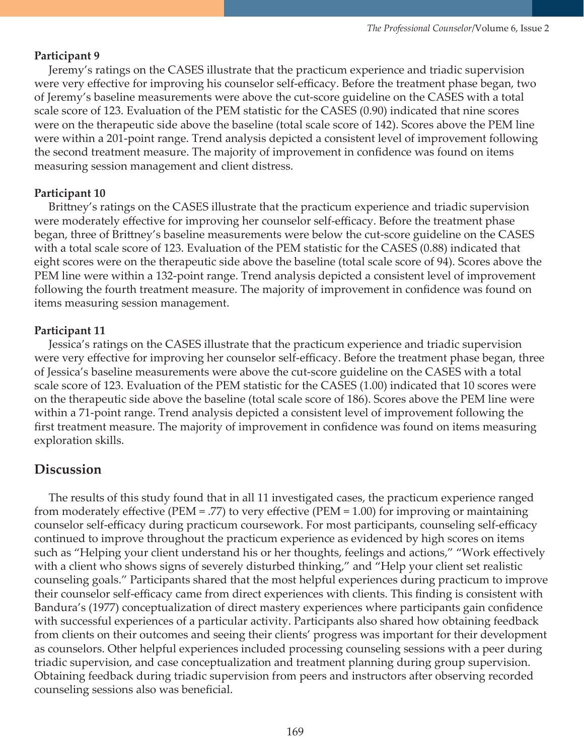### **Participant 9**

Jeremy's ratings on the CASES illustrate that the practicum experience and triadic supervision were very effective for improving his counselor self-efficacy. Before the treatment phase began, two of Jeremy's baseline measurements were above the cut-score guideline on the CASES with a total scale score of 123. Evaluation of the PEM statistic for the CASES (0.90) indicated that nine scores were on the therapeutic side above the baseline (total scale score of 142). Scores above the PEM line were within a 201-point range. Trend analysis depicted a consistent level of improvement following the second treatment measure. The majority of improvement in confidence was found on items measuring session management and client distress.

### **Participant 10**

Brittney's ratings on the CASES illustrate that the practicum experience and triadic supervision were moderately effective for improving her counselor self-efficacy. Before the treatment phase began, three of Brittney's baseline measurements were below the cut-score guideline on the CASES with a total scale score of 123. Evaluation of the PEM statistic for the CASES (0.88) indicated that eight scores were on the therapeutic side above the baseline (total scale score of 94). Scores above the PEM line were within a 132-point range. Trend analysis depicted a consistent level of improvement following the fourth treatment measure. The majority of improvement in confidence was found on items measuring session management.

### **Participant 11**

Jessica's ratings on the CASES illustrate that the practicum experience and triadic supervision were very effective for improving her counselor self-efficacy. Before the treatment phase began, three of Jessica's baseline measurements were above the cut-score guideline on the CASES with a total scale score of 123. Evaluation of the PEM statistic for the CASES (1.00) indicated that 10 scores were on the therapeutic side above the baseline (total scale score of 186). Scores above the PEM line were within a 71-point range. Trend analysis depicted a consistent level of improvement following the first treatment measure. The majority of improvement in confidence was found on items measuring exploration skills.

# **Discussion**

 The results of this study found that in all 11 investigated cases, the practicum experience ranged from moderately effective (PEM = .77) to very effective (PEM = 1.00) for improving or maintaining counselor self-efficacy during practicum coursework. For most participants, counseling self-efficacy continued to improve throughout the practicum experience as evidenced by high scores on items such as "Helping your client understand his or her thoughts, feelings and actions," "Work effectively with a client who shows signs of severely disturbed thinking," and "Help your client set realistic counseling goals." Participants shared that the most helpful experiences during practicum to improve their counselor self-efficacy came from direct experiences with clients. This finding is consistent with Bandura's (1977) conceptualization of direct mastery experiences where participants gain confidence with successful experiences of a particular activity. Participants also shared how obtaining feedback from clients on their outcomes and seeing their clients' progress was important for their development as counselors. Other helpful experiences included processing counseling sessions with a peer during triadic supervision, and case conceptualization and treatment planning during group supervision. Obtaining feedback during triadic supervision from peers and instructors after observing recorded counseling sessions also was beneficial.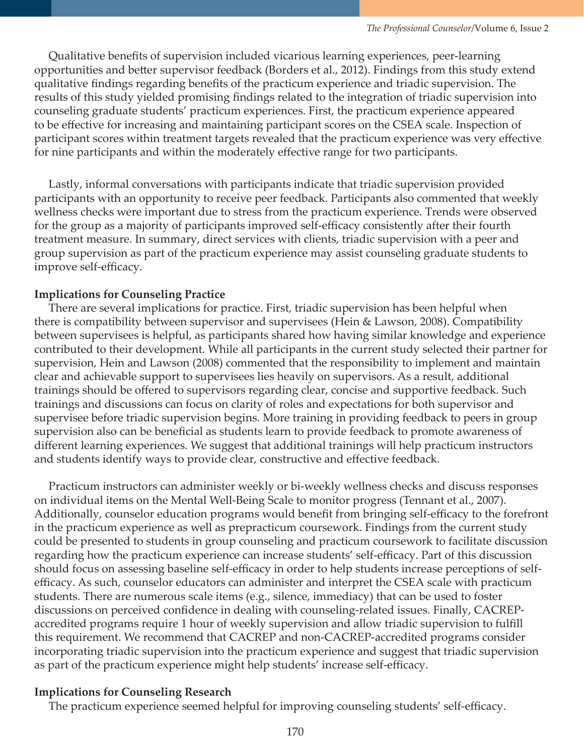Qualitative benefits of supervision included vicarious learning experiences, peer-learning opportunities and better supervisor feedback (Borders et al., 2012). Findings from this study extend qualitative findings regarding benefits of the practicum experience and triadic supervision. The results of this study yielded promising findings related to the integration of triadic supervision into counseling graduate students' practicum experiences. First, the practicum experience appeared to be effective for increasing and maintaining participant scores on the CSEA scale. Inspection of participant scores within treatment targets revealed that the practicum experience was very effective for nine participants and within the moderately effective range for two participants.

 Lastly, informal conversations with participants indicate that triadic supervision provided participants with an opportunity to receive peer feedback. Participants also commented that weekly wellness checks were important due to stress from the practicum experience. Trends were observed for the group as a majority of participants improved self-efficacy consistently after their fourth treatment measure. In summary, direct services with clients, triadic supervision with a peer and group supervision as part of the practicum experience may assist counseling graduate students to improve self-efficacy.

### **Implications for Counseling Practice**

 There are several implications for practice. First, triadic supervision has been helpful when there is compatibility between supervisor and supervisees (Hein & Lawson, 2008). Compatibility between supervisees is helpful, as participants shared how having similar knowledge and experience contributed to their development. While all participants in the current study selected their partner for supervision, Hein and Lawson (2008) commented that the responsibility to implement and maintain clear and achievable support to supervisees lies heavily on supervisors. As a result, additional trainings should be offered to supervisors regarding clear, concise and supportive feedback. Such trainings and discussions can focus on clarity of roles and expectations for both supervisor and supervisee before triadic supervision begins. More training in providing feedback to peers in group supervision also can be beneficial as students learn to provide feedback to promote awareness of different learning experiences. We suggest that additional trainings will help practicum instructors and students identify ways to provide clear, constructive and effective feedback.

 Practicum instructors can administer weekly or bi-weekly wellness checks and discuss responses on individual items on the Mental Well-Being Scale to monitor progress (Tennant et al., 2007). Additionally, counselor education programs would benefit from bringing self-efficacy to the forefront in the practicum experience as well as prepracticum coursework. Findings from the current study could be presented to students in group counseling and practicum coursework to facilitate discussion regarding how the practicum experience can increase students' self-efficacy. Part of this discussion should focus on assessing baseline self-efficacy in order to help students increase perceptions of selfefficacy. As such, counselor educators can administer and interpret the CSEA scale with practicum students. There are numerous scale items (e.g., silence, immediacy) that can be used to foster discussions on perceived confidence in dealing with counseling-related issues. Finally, CACREPaccredited programs require 1 hour of weekly supervision and allow triadic supervision to fulfill this requirement. We recommend that CACREP and non-CACREP-accredited programs consider incorporating triadic supervision into the practicum experience and suggest that triadic supervision as part of the practicum experience might help students' increase self-efficacy.

### **Implications for Counseling Research**

The practicum experience seemed helpful for improving counseling students' self-efficacy.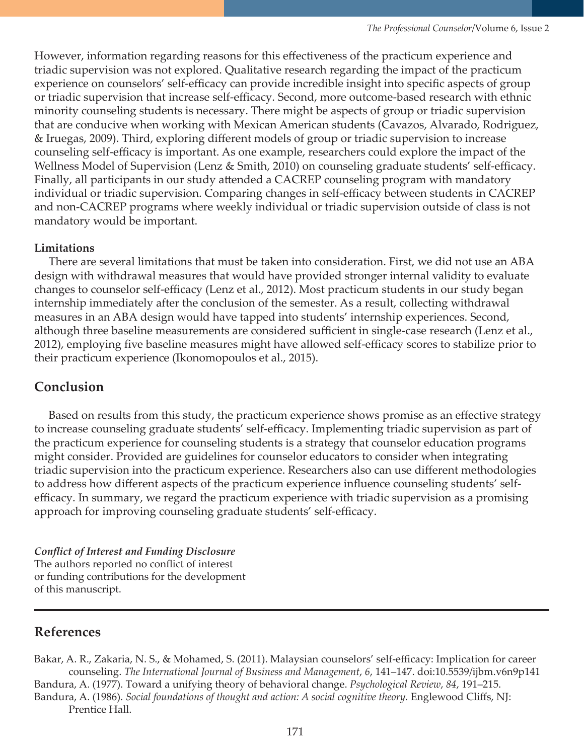However, information regarding reasons for this effectiveness of the practicum experience and triadic supervision was not explored. Qualitative research regarding the impact of the practicum experience on counselors' self-efficacy can provide incredible insight into specific aspects of group or triadic supervision that increase self-efficacy. Second, more outcome-based research with ethnic minority counseling students is necessary. There might be aspects of group or triadic supervision that are conducive when working with Mexican American students (Cavazos, Alvarado, Rodriguez, & Iruegas, 2009). Third, exploring different models of group or triadic supervision to increase counseling self-efficacy is important. As one example, researchers could explore the impact of the Wellness Model of Supervision (Lenz & Smith, 2010) on counseling graduate students' self-efficacy. Finally, all participants in our study attended a CACREP counseling program with mandatory individual or triadic supervision. Comparing changes in self-efficacy between students in CACREP and non-CACREP programs where weekly individual or triadic supervision outside of class is not mandatory would be important.

### **Limitations**

 There are several limitations that must be taken into consideration. First, we did not use an ABA design with withdrawal measures that would have provided stronger internal validity to evaluate changes to counselor self-efficacy (Lenz et al., 2012). Most practicum students in our study began internship immediately after the conclusion of the semester. As a result, collecting withdrawal measures in an ABA design would have tapped into students' internship experiences. Second, although three baseline measurements are considered sufficient in single-case research (Lenz et al., 2012), employing five baseline measures might have allowed self-efficacy scores to stabilize prior to their practicum experience (Ikonomopoulos et al., 2015).

# **Conclusion**

 Based on results from this study, the practicum experience shows promise as an effective strategy to increase counseling graduate students' self-efficacy. Implementing triadic supervision as part of the practicum experience for counseling students is a strategy that counselor education programs might consider. Provided are guidelines for counselor educators to consider when integrating triadic supervision into the practicum experience. Researchers also can use different methodologies to address how different aspects of the practicum experience influence counseling students' selfefficacy. In summary, we regard the practicum experience with triadic supervision as a promising approach for improving counseling graduate students' self-efficacy.

*Conflict of Interest and Funding Disclosure*  The authors reported no conflict of interest or funding contributions for the development of this manuscript.

# **References**

Bakar, A. R., Zakaria, N. S., & Mohamed, S. (2011). Malaysian counselors' self-efficacy: Implication for career counseling. *The International Journal of Business and Management*, *6*, 141–147. doi:10.5539/ijbm.v6n9p141 Bandura, A. (1977). Toward a unifying theory of behavioral change. *Psychological Review*, *84*, 191–215. Bandura, A. (1986). *Social foundations of thought and action: A social cognitive theory.* Englewood Cliffs, NJ:

Prentice Hall.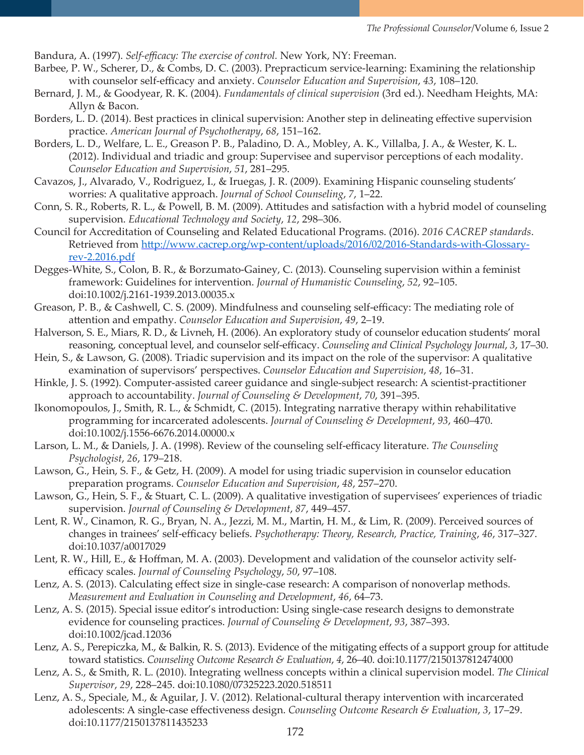Bandura, A. (1997). *Self-efficacy: The exercise of control.* New York, NY: Freeman.

- Barbee, P. W., Scherer, D., & Combs, D. C. (2003). Prepracticum service-learning: Examining the relationship with counselor self-efficacy and anxiety. *Counselor Education and Supervision*, *43*, 108–120.
- Bernard, J. M., & Goodyear, R. K. (2004). *Fundamentals of clinical supervision* (3rd ed.). Needham Heights, MA: Allyn & Bacon.
- Borders, L. D. (2014). Best practices in clinical supervision: Another step in delineating effective supervision practice. *American Journal of Psychotherapy*, *68*, 151–162.
- Borders, L. D., Welfare, L. E., Greason P. B., Paladino, D. A., Mobley, A. K., Villalba, J. A., & Wester, K. L. (2012). Individual and triadic and group: Supervisee and supervisor perceptions of each modality. *Counselor Education and Supervision*, *51*, 281–295.
- Cavazos, J., Alvarado, V., Rodriguez, I., & Iruegas, J. R. (2009). Examining Hispanic counseling students' worries: A qualitative approach. *Journal of School Counseling*, *7*, 1–22.
- Conn, S. R., Roberts, R. L., & Powell, B. M. (2009). Attitudes and satisfaction with a hybrid model of counseling supervision. *Educational Technology and Society*, *12*, 298–306.
- Council for Accreditation of Counseling and Related Educational Programs. (2016). *2016 CACREP standards*. Retrieved from [http://www.cacrep.org/wp-content/uploads/2016/02/2016-Standards-with-Glossary](http://www.cacrep.org/wp-content/uploads/2016/02/2016-Standards-with-Glossary-rev-2.2016.pdf)[rev-2.2016.pdf](http://www.cacrep.org/wp-content/uploads/2016/02/2016-Standards-with-Glossary-rev-2.2016.pdf)
- Degges-White, S., Colon, B. R., & Borzumato-Gainey, C. (2013). Counseling supervision within a feminist framework: Guidelines for intervention. *Journal of Humanistic Counseling*, *52*, 92–105. doi:10.1002/j.2161-1939.2013.00035.x
- Greason, P. B., & Cashwell, C. S. (2009). Mindfulness and counseling self-efficacy: The mediating role of attention and empathy. *Counselor Education and Supervision*, *49*, 2–19.
- Halverson, S. E., Miars, R. D., & Livneh, H. (2006). An exploratory study of counselor education students' moral reasoning, conceptual level, and counselor self-efficacy. *Counseling and Clinical Psychology Journal*, *3*, 17–30.
- Hein, S., & Lawson, G. (2008). Triadic supervision and its impact on the role of the supervisor: A qualitative examination of supervisors' perspectives. *Counselor Education and Supervision*, *48*, 16–31.
- Hinkle, J. S. (1992). Computer-assisted career guidance and single-subject research: A scientist-practitioner approach to accountability. *Journal of Counseling & Development*, *70*, 391–395.
- Ikonomopoulos, J., Smith, R. L., & Schmidt, C. (2015). Integrating narrative therapy within rehabilitative programming for incarcerated adolescents. *Journal of Counseling & Development*, *93*, 460–470. doi:10.1002/j.1556-6676.2014.00000.x
- Larson, L. M., & Daniels, J. A. (1998). Review of the counseling self-efficacy literature. *The Counseling Psychologist*, *26*, 179–218.
- Lawson, G., Hein, S. F., & Getz, H. (2009). A model for using triadic supervision in counselor education preparation programs. *Counselor Education and Supervision*, *48*, 257–270.
- Lawson, G., Hein, S. F., & Stuart, C. L. (2009). A qualitative investigation of supervisees' experiences of triadic supervision. *Journal of Counseling & Development*, *87*, 449–457.
- Lent, R. W., Cinamon, R. G., Bryan, N. A., Jezzi, M. M., Martin, H. M., & Lim, R. (2009). Perceived sources of changes in trainees' self-efficacy beliefs. *Psychotherapy: Theory, Research, Practice, Training*, *46*, 317–327. doi:10.1037/a0017029
- Lent, R. W., Hill, E., & Hoffman, M. A. (2003). Development and validation of the counselor activity selfefficacy scales. *Journal of Counseling Psychology*, *50*, 97–108.
- Lenz, A. S. (2013). Calculating effect size in single-case research: A comparison of nonoverlap methods. *Measurement and Evaluation in Counseling and Development*, *46*, 64–73.
- Lenz, A. S. (2015). Special issue editor's introduction: Using single-case research designs to demonstrate evidence for counseling practices. *Journal of Counseling & Development*, *93*, 387–393. doi:10.1002/jcad.12036
- Lenz, A. S., Perepiczka, M., & Balkin, R. S. (2013). Evidence of the mitigating effects of a support group for attitude toward statistics. *Counseling Outcome Research & Evaluation*, *4*, 26–40. doi:10.1177/2150137812474000
- Lenz, A. S., & Smith, R. L. (2010). Integrating wellness concepts within a clinical supervision model. *The Clinical Supervisor*, *29*, 228–245. doi:10.1080/07325223.2020.518511
- Lenz, A. S., Speciale, M., & Aguilar, J. V. (2012). Relational-cultural therapy intervention with incarcerated adolescents: A single-case effectiveness design. *Counseling Outcome Research & Evaluation*, *3*, 17–29. doi:10.1177/2150137811435233